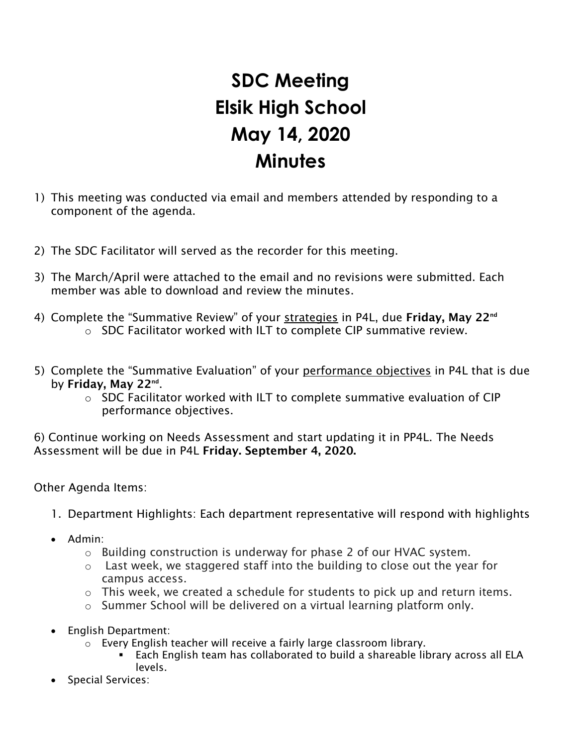## **SDC Meeting Elsik High School May 14, 2020 Minutes**

- 1) This meeting was conducted via email and members attended by responding to a component of the agenda.
- 2) The SDC Facilitator will served as the recorder for this meeting.
- 3) The March/April were attached to the email and no revisions were submitted. Each member was able to download and review the minutes.
- 4) Complete the "Summative Review" of your strategies in P4L, due Friday, May 22<sup>nd</sup> o SDC Facilitator worked with ILT to complete CIP summative review.
- 5) Complete the "Summative Evaluation" of your performance objectives in P4L that is due by Friday, May 22<sup>nd</sup>.
	- o SDC Facilitator worked with ILT to complete summative evaluation of CIP performance objectives.

6) Continue working on Needs Assessment and start updating it in PP4L. The Needs Assessment will be due in P4L Friday. September 4, 2020.

Other Agenda Items:

- 1. Department Highlights: Each department representative will respond with highlights
- Admin:
	- $\circ$  Building construction is underway for phase 2 of our HVAC system.
	- o Last week, we staggered staff into the building to close out the year for campus access.
	- o This week, we created a schedule for students to pick up and return items.
	- o Summer School will be delivered on a virtual learning platform only.
- English Department:
	- o Every English teacher will receive a fairly large classroom library.<br>Fach Fnglish team has collaborated to build a shareable lil
		- Each English team has collaborated to build a shareable library across all ELA levels.
- Special Services: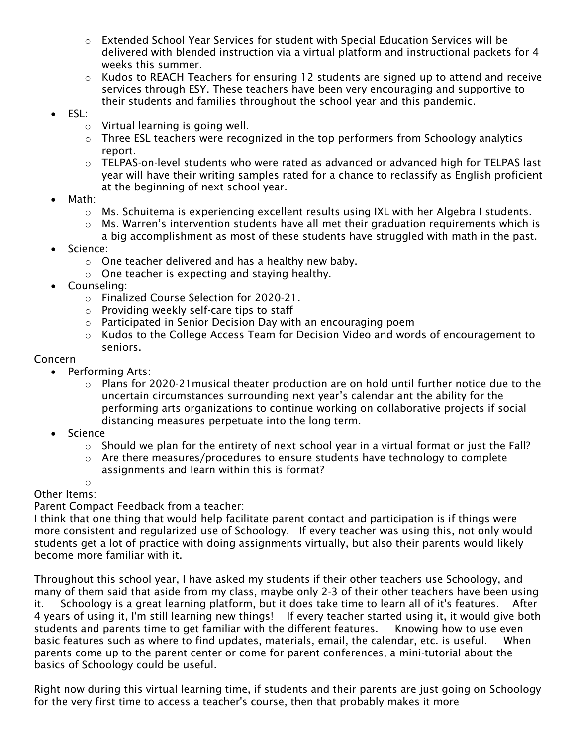- $\circ$  Extended School Year Services for student with Special Education Services will be delivered with blended instruction via a virtual platform and instructional packets for 4 weeks this summer.
- $\circ$  Kudos to REACH Teachers for ensuring 12 students are signed up to attend and receive services through ESY. These teachers have been very encouraging and supportive to their students and families throughout the school year and this pandemic.
- ESL:
	- o Virtual learning is going well.
	- $\circ$  Three ESL teachers were recognized in the top performers from Schoology analytics report.
	- $\circ$  TELPAS-on-level students who were rated as advanced or advanced high for TELPAS last year will have their writing samples rated for a chance to reclassify as English proficient at the beginning of next school year.
- Math:
	- $\circ$  Ms. Schuitema is experiencing excellent results using IXL with her Algebra I students.
	- o Ms. Warren's intervention students have all met their graduation requirements which is
	- a big accomplishment as most of these students have struggled with math in the past.
- Science:
	- o One teacher delivered and has a healthy new baby.
	- o One teacher is expecting and staying healthy.
- Counseling:
	- o Finalized Course Selection for 2020-21.
	- o Providing weekly self-care tips to staff
	- o Participated in Senior Decision Day with an encouraging poem
	- o Kudos to the College Access Team for Decision Video and words of encouragement to seniors.

## Concern

- Performing Arts:
	- o Plans for 2020-21musical theater production are on hold until further notice due to the uncertain circumstances surrounding next year's calendar ant the ability for the performing arts organizations to continue working on collaborative projects if social distancing measures perpetuate into the long term.
- Science
	- $\circ$  Should we plan for the entirety of next school year in a virtual format or just the Fall?
	- $\circ$  Are there measures/procedures to ensure students have technology to complete assignments and learn within this is format?

## o Other Items:

Parent Compact Feedback from a teacher:

I think that one thing that would help facilitate parent contact and participation is if things were more consistent and regularized use of Schoology. If every teacher was using this, not only would students get a lot of practice with doing assignments virtually, but also their parents would likely become more familiar with it.

Throughout this school year, I have asked my students if their other teachers use Schoology, and many of them said that aside from my class, maybe only 2-3 of their other teachers have been using it. Schoology is a great learning platform, but it does take time to learn all of it's features. After 4 years of using it, I'm still learning new things! If every teacher started using it, it would give both students and parents time to get familiar with the different features. Knowing how to use even basic features such as where to find updates, materials, email, the calendar, etc. is useful. When parents come up to the parent center or come for parent conferences, a mini-tutorial about the basics of Schoology could be useful.

Right now during this virtual learning time, if students and their parents are just going on Schoology for the very first time to access a teacher's course, then that probably makes it more